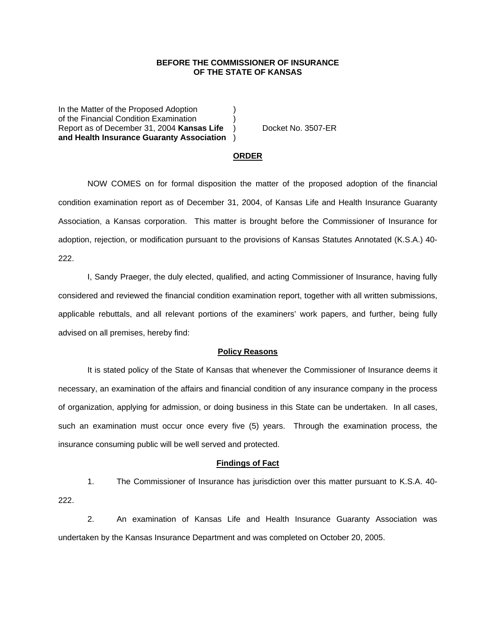## **BEFORE THE COMMISSIONER OF INSURANCE OF THE STATE OF KANSAS**

In the Matter of the Proposed Adoption of the Financial Condition Examination ) Report as of December 31, 2004 **Kansas Life** ) Docket No. 3507-ER **and Health Insurance Guaranty Association** )

#### **ORDER**

 NOW COMES on for formal disposition the matter of the proposed adoption of the financial condition examination report as of December 31, 2004, of Kansas Life and Health Insurance Guaranty Association, a Kansas corporation. This matter is brought before the Commissioner of Insurance for adoption, rejection, or modification pursuant to the provisions of Kansas Statutes Annotated (K.S.A.) 40- 222.

 I, Sandy Praeger, the duly elected, qualified, and acting Commissioner of Insurance, having fully considered and reviewed the financial condition examination report, together with all written submissions, applicable rebuttals, and all relevant portions of the examiners' work papers, and further, being fully advised on all premises, hereby find:

#### **Policy Reasons**

 It is stated policy of the State of Kansas that whenever the Commissioner of Insurance deems it necessary, an examination of the affairs and financial condition of any insurance company in the process of organization, applying for admission, or doing business in this State can be undertaken. In all cases, such an examination must occur once every five (5) years. Through the examination process, the insurance consuming public will be well served and protected.

### **Findings of Fact**

 1. The Commissioner of Insurance has jurisdiction over this matter pursuant to K.S.A. 40- 222.

 2. An examination of Kansas Life and Health Insurance Guaranty Association was undertaken by the Kansas Insurance Department and was completed on October 20, 2005.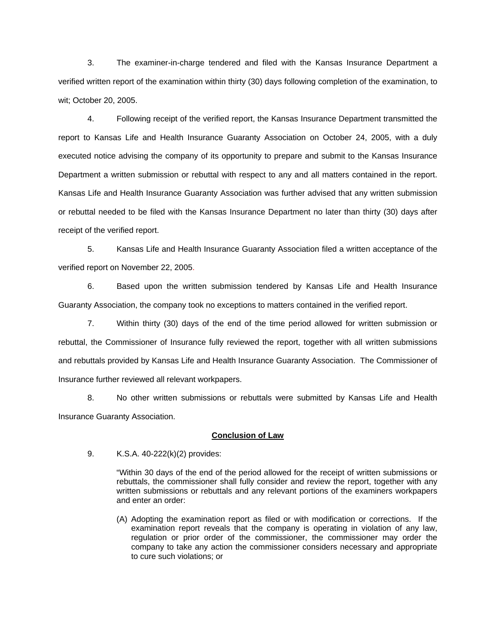3. The examiner-in-charge tendered and filed with the Kansas Insurance Department a verified written report of the examination within thirty (30) days following completion of the examination, to wit; October 20, 2005.

 4. Following receipt of the verified report, the Kansas Insurance Department transmitted the report to Kansas Life and Health Insurance Guaranty Association on October 24, 2005, with a duly executed notice advising the company of its opportunity to prepare and submit to the Kansas Insurance Department a written submission or rebuttal with respect to any and all matters contained in the report. Kansas Life and Health Insurance Guaranty Association was further advised that any written submission or rebuttal needed to be filed with the Kansas Insurance Department no later than thirty (30) days after receipt of the verified report.

 5. Kansas Life and Health Insurance Guaranty Association filed a written acceptance of the verified report on November 22, 2005.

6. Based upon the written submission tendered by Kansas Life and Health Insurance Guaranty Association, the company took no exceptions to matters contained in the verified report.

 7. Within thirty (30) days of the end of the time period allowed for written submission or rebuttal, the Commissioner of Insurance fully reviewed the report, together with all written submissions and rebuttals provided by Kansas Life and Health Insurance Guaranty Association. The Commissioner of Insurance further reviewed all relevant workpapers.

 8. No other written submissions or rebuttals were submitted by Kansas Life and Health Insurance Guaranty Association.

### **Conclusion of Law**

9. K.S.A. 40-222(k)(2) provides:

"Within 30 days of the end of the period allowed for the receipt of written submissions or rebuttals, the commissioner shall fully consider and review the report, together with any written submissions or rebuttals and any relevant portions of the examiners workpapers and enter an order:

(A) Adopting the examination report as filed or with modification or corrections. If the examination report reveals that the company is operating in violation of any law, regulation or prior order of the commissioner, the commissioner may order the company to take any action the commissioner considers necessary and appropriate to cure such violations; or